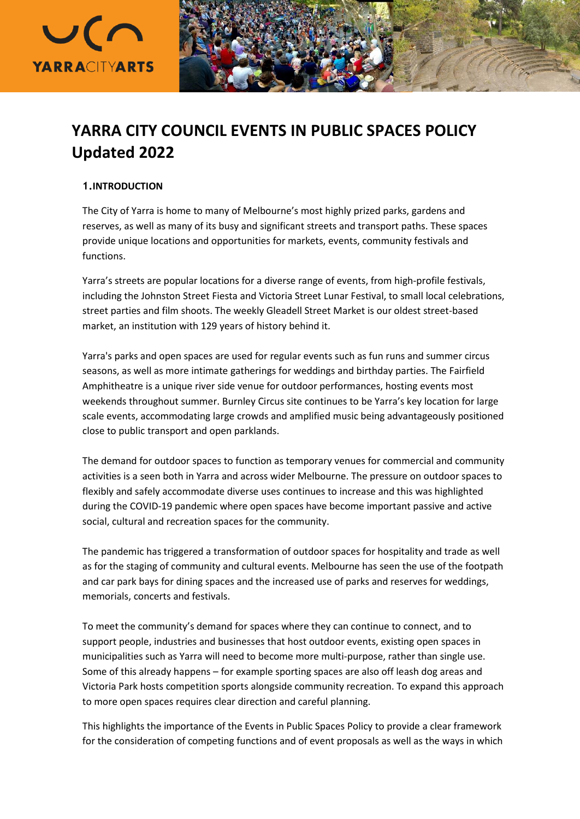



# **YARRA CITY COUNCIL EVENTS IN PUBLIC SPACES POLICY Updated 2022**

# **1.INTRODUCTION**

The City of Yarra is home to many of Melbourne's most highly prized parks, gardens and reserves, as well as many of its busy and significant streets and transport paths. These spaces provide unique locations and opportunities for markets, events, community festivals and functions.

Yarra's streets are popular locations for a diverse range of events, from high-profile festivals, including the Johnston Street Fiesta and Victoria Street Lunar Festival, to small local celebrations, street parties and film shoots. The weekly Gleadell Street Market is our oldest street-based market, an institution with 129 years of history behind it.

Yarra's parks and open spaces are used for regular events such as fun runs and summer circus seasons, as well as more intimate gatherings for weddings and birthday parties. The Fairfield Amphitheatre is a unique river side venue for outdoor performances, hosting events most weekends throughout summer. Burnley Circus site continues to be Yarra's key location for large scale events, accommodating large crowds and amplified music being advantageously positioned close to public transport and open parklands.

The demand for outdoor spaces to function as temporary venues for commercial and community activities is a seen both in Yarra and across wider Melbourne. The pressure on outdoor spaces to flexibly and safely accommodate diverse uses continues to increase and this was highlighted during the COVID-19 pandemic where open spaces have become important passive and active social, cultural and recreation spaces for the community.

The pandemic has triggered a transformation of outdoor spaces for hospitality and trade as well as for the staging of community and cultural events. Melbourne has seen the use of the footpath and car park bays for dining spaces and the increased use of parks and reserves for weddings, memorials, concerts and festivals.

To meet the community's demand for spaces where they can continue to connect, and to support people, industries and businesses that host outdoor events, existing open spaces in municipalities such as Yarra will need to become more multi-purpose, rather than single use. Some of this already happens – for example sporting spaces are also off leash dog areas and Victoria Park hosts competition sports alongside community recreation. To expand this approach to more open spaces requires clear direction and careful planning.

This highlights the importance of the Events in Public Spaces Policy to provide a clear framework for the consideration of competing functions and of event proposals as well as the ways in which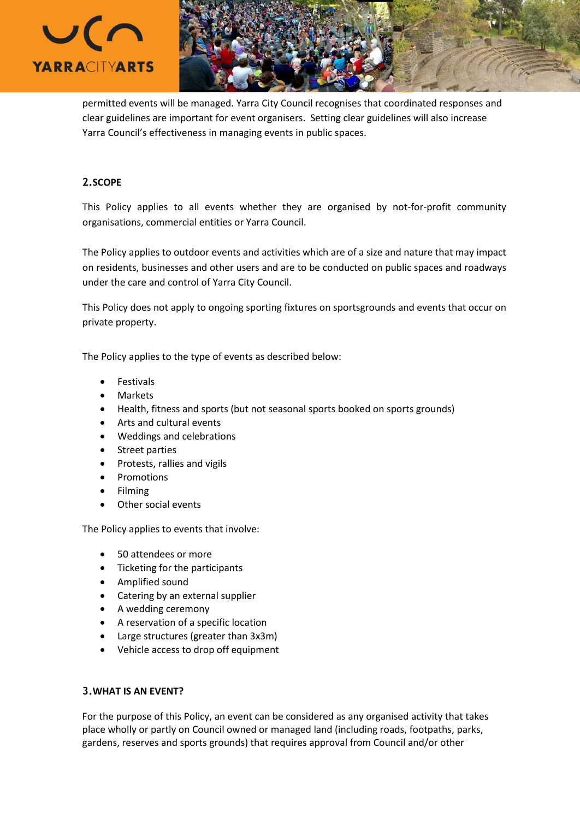



permitted events will be managed. Yarra City Council recognises that coordinated responses and clear guidelines are important for event organisers. Setting clear guidelines will also increase Yarra Council's effectiveness in managing events in public spaces.

# **2.SCOPE**

This Policy applies to all events whether they are organised by not-for-profit community organisations, commercial entities or Yarra Council.

The Policy applies to outdoor events and activities which are of a size and nature that may impact on residents, businesses and other users and are to be conducted on public spaces and roadways under the care and control of Yarra City Council.

This Policy does not apply to ongoing sporting fixtures on sportsgrounds and events that occur on private property.

The Policy applies to the type of events as described below:

- Festivals
- Markets
- Health, fitness and sports (but not seasonal sports booked on sports grounds)
- Arts and cultural events
- Weddings and celebrations
- Street parties
- Protests, rallies and vigils
- Promotions
- Filming
- Other social events

The Policy applies to events that involve:

- 50 attendees or more
- Ticketing for the participants
- Amplified sound
- Catering by an external supplier
- A wedding ceremony
- A reservation of a specific location
- Large structures (greater than 3x3m)
- Vehicle access to drop off equipment

# **3.WHAT IS AN EVENT?**

For the purpose of this Policy, an event can be considered as any organised activity that takes place wholly or partly on Council owned or managed land (including roads, footpaths, parks, gardens, reserves and sports grounds) that requires approval from Council and/or other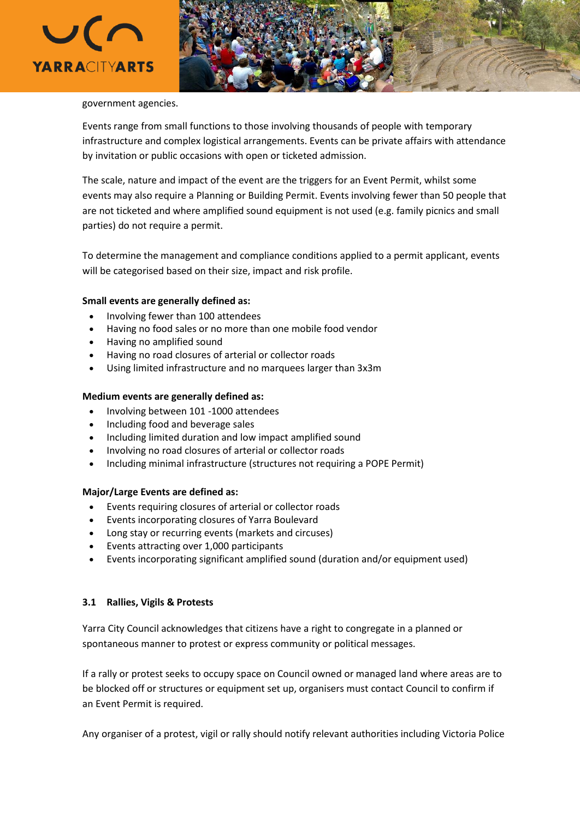



#### government agencies.

Events range from small functions to those involving thousands of people with temporary infrastructure and complex logistical arrangements. Events can be private affairs with attendance by invitation or public occasions with open or ticketed admission.

The scale, nature and impact of the event are the triggers for an Event Permit, whilst some events may also require a Planning or Building Permit. Events involving fewer than 50 people that are not ticketed and where amplified sound equipment is not used (e.g. family picnics and small parties) do not require a permit.

To determine the management and compliance conditions applied to a permit applicant, events will be categorised based on their size, impact and risk profile.

#### **Small events are generally defined as:**

- Involving fewer than 100 attendees
- Having no food sales or no more than one mobile food vendor
- Having no amplified sound
- Having no road closures of arterial or collector roads
- Using limited infrastructure and no marquees larger than 3x3m

### **Medium events are generally defined as:**

- Involving between 101 -1000 attendees
- Including food and beverage sales
- Including limited duration and low impact amplified sound
- Involving no road closures of arterial or collector roads
- Including minimal infrastructure (structures not requiring a POPE Permit)

### **Major/Large Events are defined as:**

- Events requiring closures of arterial or collector roads
- Events incorporating closures of Yarra Boulevard
- Long stay or recurring events (markets and circuses)
- Events attracting over 1,000 participants
- Events incorporating significant amplified sound (duration and/or equipment used)

### **3.1 Rallies, Vigils & Protests**

Yarra City Council acknowledges that citizens have a right to congregate in a planned or spontaneous manner to protest or express community or political messages.

If a rally or protest seeks to occupy space on Council owned or managed land where areas are to be blocked off or structures or equipment set up, organisers must contact Council to confirm if an Event Permit is required.

Any organiser of a protest, vigil or rally should notify relevant authorities including Victoria Police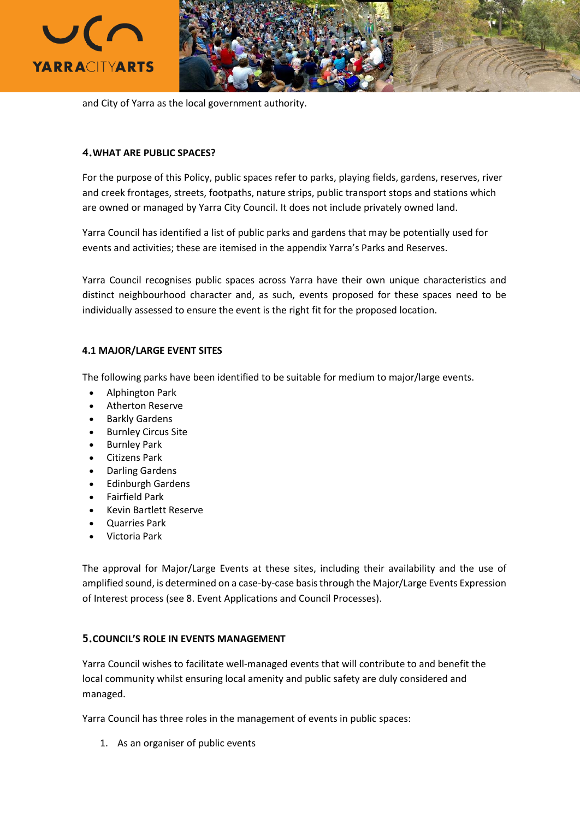



and City of Yarra as the local government authority.

# **4.WHAT ARE PUBLIC SPACES?**

For the purpose of this Policy, public spaces refer to parks, playing fields, gardens, reserves, river and creek frontages, streets, footpaths, nature strips, public transport stops and stations which are owned or managed by Yarra City Council. It does not include privately owned land.

Yarra Council has identified a list of public parks and gardens that may be potentially used for events and activities; these are itemised in the appendix Yarra's Parks and Reserves.

Yarra Council recognises public spaces across Yarra have their own unique characteristics and distinct neighbourhood character and, as such, events proposed for these spaces need to be individually assessed to ensure the event is the right fit for the proposed location.

# **4.1 MAJOR/LARGE EVENT SITES**

The following parks have been identified to be suitable for medium to major/large events.

- Alphington Park
- Atherton Reserve
- Barkly Gardens
- Burnley Circus Site
- Burnley Park
- Citizens Park
- Darling Gardens
- Edinburgh Gardens
- Fairfield Park
- Kevin Bartlett Reserve
- Quarries Park
- Victoria Park

The approval for Major/Large Events at these sites, including their availability and the use of amplified sound, is determined on a case-by-case basisthrough the Major/Large Events Expression of Interest process (see 8. Event Applications and Council Processes).

# **5.COUNCIL'S ROLE IN EVENTS MANAGEMENT**

Yarra Council wishes to facilitate well-managed events that will contribute to and benefit the local community whilst ensuring local amenity and public safety are duly considered and managed.

Yarra Council has three roles in the management of events in public spaces:

1. As an organiser of public events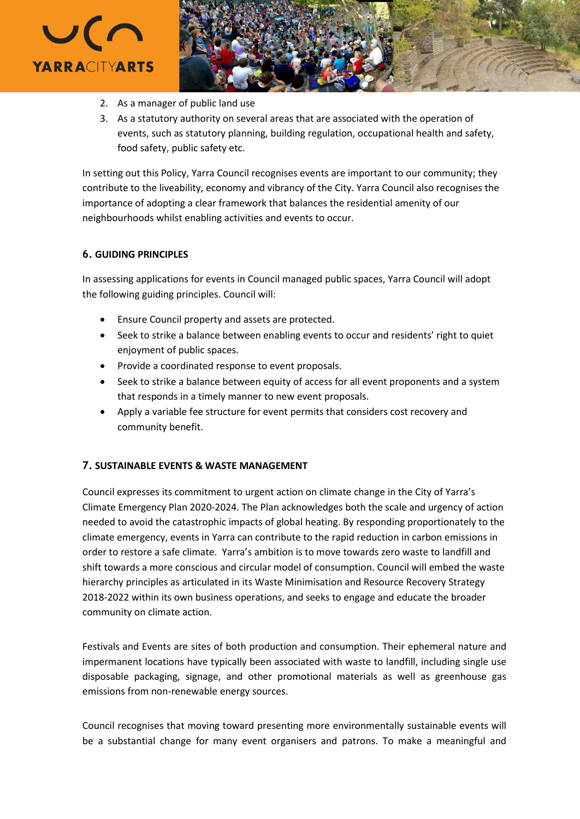



- 2. As a manager of public land use
- 3. As a statutory authority on several areas that are associated with the operation of events, such as statutory planning, building regulation, occupational health and safety, food safety, public safety etc.

In setting out this Policy, Yarra Council recognises events are important to our community; they contribute to the liveability, economy and vibrancy of the City. Yarra Council also recognises the importance of adopting a clear framework that balances the residential amenity of our neighbourhoods whilst enabling activities and events to occur.

# **6. GUIDING PRINCIPLES**

In assessing applications for events in Council managed public spaces, Yarra Council will adopt the following guiding principles. Council will:

- Ensure Council property and assets are protected.
- Seek to strike a balance between enabling events to occur and residents' right to quiet enjoyment of public spaces.
- Provide a coordinated response to event proposals.
- Seek to strike a balance between equity of access for all event proponents and a system that responds in a timely manner to new event proposals.
- Apply a variable fee structure for event permits that considers cost recovery and community benefit.

# **7. SUSTAINABLE EVENTS & WASTE MANAGEMENT**

Council expresses its commitment to urgent action on climate change in the City of [Yarra's](https://www.yarracity.vic.gov.au/news/2021/03/19/the-climate-emergency-plan-that-can) Climate Emergency Plan [2020-2024.](https://www.yarracity.vic.gov.au/news/2021/03/19/the-climate-emergency-plan-that-can) The Plan acknowledges both the scale and urgency of action needed to avoid the catastrophic impacts of global heating. By responding proportionately to the climate emergency, events in Yarra can contribute to the rapid reduction in carbon emissions in order to restore a safe climate. Yarra's ambition is to move towards zero waste to landfill and shift towards a more conscious and circular model of consumption. Council will embed the waste hierarchy principles as articulated in its Waste Minimisation and Resource Recovery Strategy 2018-2022 within its own business operations, and seeks to engage and educate the broader community on climate action.

Festivals and Events are sites of both production and consumption. Their ephemeral nature and impermanent locations have typically been associated with waste to landfill, including single use disposable packaging, signage, and other promotional materials as well as greenhouse gas emissions from non-renewable energy sources.

Council recognises that moving toward presenting more environmentally sustainable events will be a substantial change for many event organisers and patrons. To make a meaningful and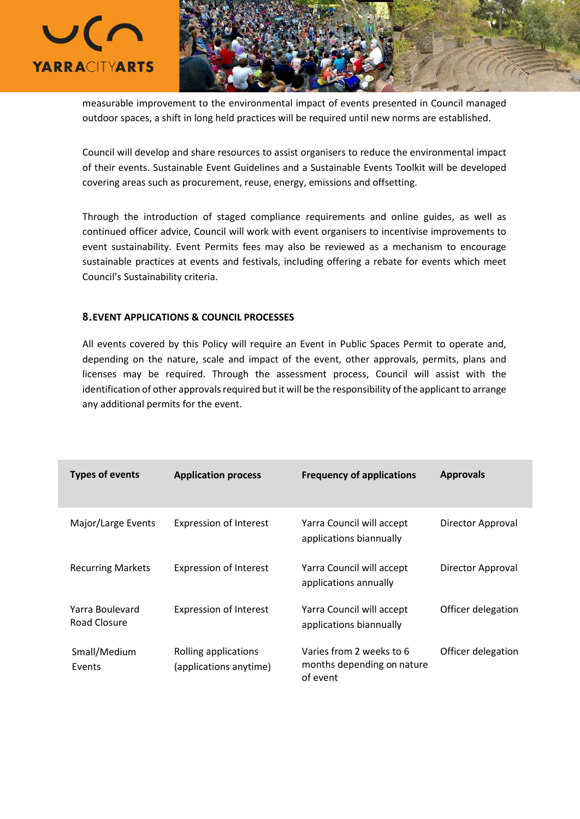

measurable improvement to the environmental impact of events presented in Council managed outdoor spaces, a shift in long held practices will be required until new norms are established.

Council will develop and share resources to assist organisers to reduce the environmental impact of their events. Sustainable Event Guidelines and a Sustainable Events Toolkit will be developed covering areas such as procurement, reuse, energy, emissions and offsetting.

Through the introduction of staged compliance requirements and online guides, as well as continued officer advice, Council will work with event organisers to incentivise improvements to event sustainability. Event Permits fees may also be reviewed as a mechanism to encourage sustainable practices at events and festivals, including offering a rebate for events which meet Council's Sustainability criteria.

# **8.EVENT APPLICATIONS & COUNCIL PROCESSES**

All events covered by this Policy will require an Event in Public Spaces Permit to operate and, depending on the nature, scale and impact of the event, other approvals, permits, plans and licenses may be required. Through the assessment process, Council will assist with the identification of other approvals required but it will be the responsibility of the applicant to arrange any additional permits for the event.

| <b>Types of events</b>          | <b>Application process</b>                     | <b>Frequency of applications</b>                                   | <b>Approvals</b>   |
|---------------------------------|------------------------------------------------|--------------------------------------------------------------------|--------------------|
| Major/Large Events              | <b>Expression of Interest</b>                  | Yarra Council will accept<br>applications biannually               | Director Approval  |
| <b>Recurring Markets</b>        | <b>Expression of Interest</b>                  | Yarra Council will accept<br>applications annually                 | Director Approval  |
| Yarra Boulevard<br>Road Closure | <b>Expression of Interest</b>                  | Yarra Council will accept<br>applications biannually               | Officer delegation |
| Small/Medium<br>Events          | Rolling applications<br>(applications anytime) | Varies from 2 weeks to 6<br>months depending on nature<br>of event | Officer delegation |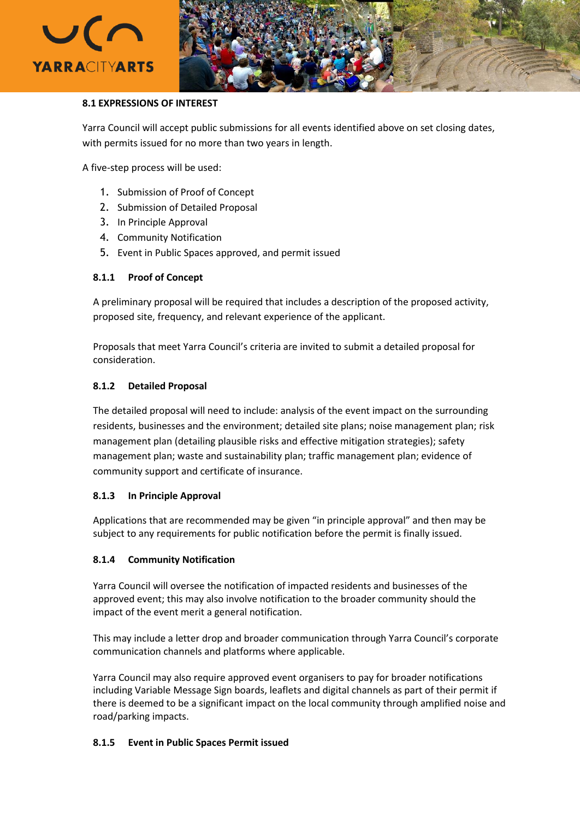



# **8.1 EXPRESSIONS OF INTEREST**

Yarra Council will accept public submissions for all events identified above on set closing dates, with permits issued for no more than two years in length.

A five-step process will be used:

- 1. Submission of Proof of Concept
- 2. Submission of Detailed Proposal
- 3. In Principle Approval
- 4. Community Notification
- 5. Event in Public Spaces approved, and permit issued

# **8.1.1 Proof of Concept**

A preliminary proposal will be required that includes a description of the proposed activity, proposed site, frequency, and relevant experience of the applicant.

Proposals that meet Yarra Council's criteria are invited to submit a detailed proposal for consideration.

# **8.1.2 Detailed Proposal**

The detailed proposal will need to include: analysis of the event impact on the surrounding residents, businesses and the environment; detailed site plans; noise management plan; risk management plan (detailing plausible risks and effective mitigation strategies); safety management plan; waste and sustainability plan; traffic management plan; evidence of community support and certificate of insurance.

# **8.1.3 In Principle Approval**

Applications that are recommended may be given "in principle approval" and then may be subject to any requirements for public notification before the permit is finally issued.

# **8.1.4 Community Notification**

Yarra Council will oversee the notification of impacted residents and businesses of the approved event; this may also involve notification to the broader community should the impact of the event merit a general notification.

This may include a letter drop and broader communication through Yarra Council's corporate communication channels and platforms where applicable.

Yarra Council may also require approved event organisers to pay for broader notifications including Variable Message Sign boards, leaflets and digital channels as part of their permit if there is deemed to be a significant impact on the local community through amplified noise and road/parking impacts.

# **8.1.5 Event in Public Spaces Permit issued**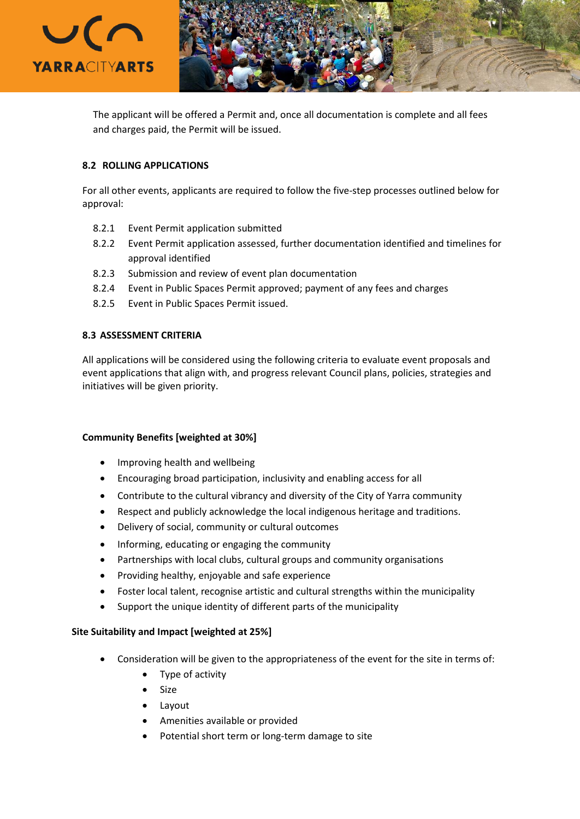

The applicant will be offered a Permit and, once all documentation is complete and all fees and charges paid, the Permit will be issued.

# **8.2 ROLLING APPLICATIONS**

For all other events, applicants are required to follow the five-step processes outlined below for approval:

- 8.2.1 Event Permit application submitted
- 8.2.2 Event Permit application assessed, further documentation identified and timelines for approval identified
- 8.2.3 Submission and review of event plan documentation
- 8.2.4 Event in Public Spaces Permit approved; payment of any fees and charges
- 8.2.5 Event in Public Spaces Permit issued.

# **8.3 ASSESSMENT CRITERIA**

All applications will be considered using the following criteria to evaluate event proposals and event applications that align with, and progress relevant Council plans, policies, strategies and initiatives will be given priority.

### **Community Benefits [weighted at 30%]**

- Improving health and wellbeing
- Encouraging broad participation, inclusivity and enabling access for all
- Contribute to the cultural vibrancy and diversity of the City of Yarra community
- Respect and publicly acknowledge the local indigenous heritage and traditions.
- Delivery of social, community or cultural outcomes
- Informing, educating or engaging the community
- Partnerships with local clubs, cultural groups and community organisations
- Providing healthy, enjoyable and safe experience
- Foster local talent, recognise artistic and cultural strengths within the municipality
- Support the unique identity of different parts of the municipality

### **Site Suitability and Impact [weighted at 25%]**

- Consideration will be given to the appropriateness of the event for the site in terms of:
	- Type of activity
	- **Size**
	- Layout
	- Amenities available or provided
	- Potential short term or long-term damage to site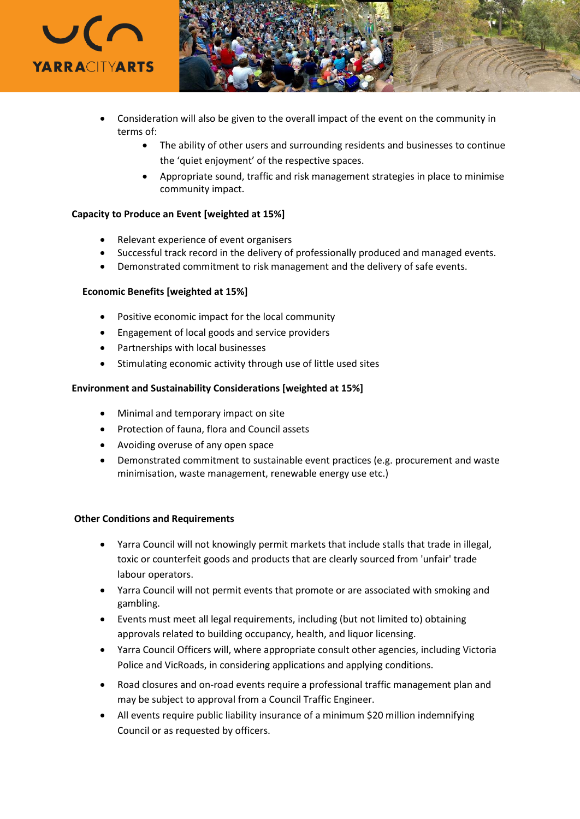

- Consideration will also be given to the overall impact of the event on the community in terms of:
	- The ability of other users and surrounding residents and businesses to continue the 'quiet enjoyment' of the respective spaces.
	- Appropriate sound, traffic and risk management strategies in place to minimise community impact.

# **Capacity to Produce an Event [weighted at 15%]**

- Relevant experience of event organisers
- Successful track record in the delivery of professionally produced and managed events.
- Demonstrated commitment to risk management and the delivery of safe events.

### **Economic Benefits [weighted at 15%]**

- Positive economic impact for the local community
- Engagement of local goods and service providers
- Partnerships with local businesses
- Stimulating economic activity through use of little used sites

### **Environment and Sustainability Considerations [weighted at 15%]**

- Minimal and temporary impact on site
- Protection of fauna, flora and Council assets
- Avoiding overuse of any open space
- Demonstrated commitment to sustainable event practices (e.g. procurement and waste minimisation, waste management, renewable energy use etc.)

### **Other Conditions and Requirements**

- Yarra Council will not knowingly permit markets that include stalls that trade in illegal, toxic or counterfeit goods and products that are clearly sourced from 'unfair' trade labour operators.
- Yarra Council will not permit events that promote or are associated with smoking and gambling.
- Events must meet all legal requirements, including (but not limited to) obtaining approvals related to building occupancy, health, and liquor licensing.
- Yarra Council Officers will, where appropriate consult other agencies, including Victoria Police and VicRoads, in considering applications and applying conditions.
- Road closures and on-road events require a professional traffic management plan and may be subject to approval from a Council Traffic Engineer.
- All events require public liability insurance of a minimum \$20 million indemnifying Council or as requested by officers.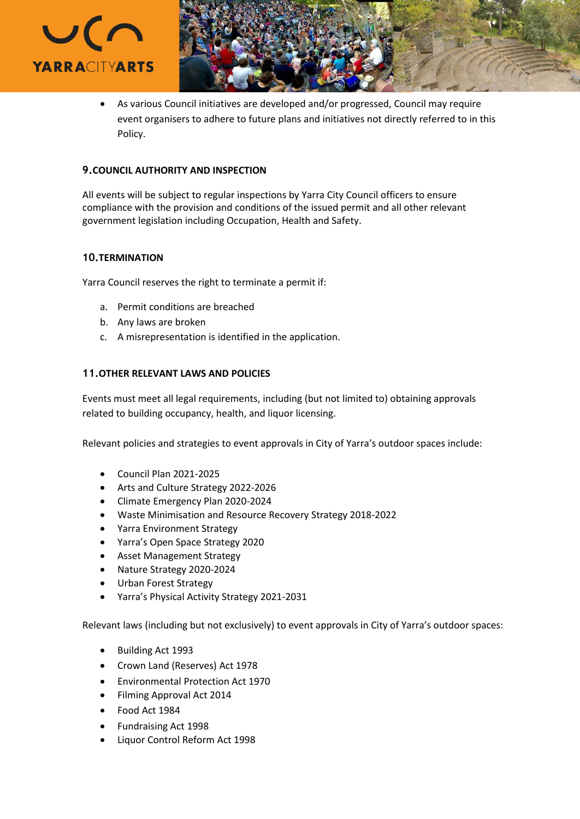



• As various Council initiatives are developed and/or progressed, Council may require event organisers to adhere to future plans and initiatives not directly referred to in this Policy.

# **9.COUNCIL AUTHORITY AND INSPECTION**

All events will be subject to regular inspections by Yarra City Council officers to ensure compliance with the provision and conditions of the issued permit and all other relevant government legislation including Occupation, Health and Safety.

# **10.TERMINATION**

Yarra Council reserves the right to terminate a permit if:

- a. Permit conditions are breached
- b. Any laws are broken
- c. A misrepresentation is identified in the application.

# **11.OTHER RELEVANT LAWS AND POLICIES**

Events must meet all legal requirements, including (but not limited to) obtaining approvals related to building occupancy, health, and liquor licensing.

Relevant policies and strategies to event approvals in City of Yarra's outdoor spaces include:

- Council Plan 2021-2025
- Arts and Culture Strategy 2022-2026
- Climate Emergency Plan 2020-2024
- Waste Minimisation and Resource Recovery Strategy 2018-2022
- Yarra Environment Strategy
- Yarra's Open Space Strategy 2020
- Asset Management Strategy
- Nature Strategy 2020-2024
- Urban Forest Strategy
- Yarra's Physical Activity Strategy 2021-2031

Relevant laws (including but not exclusively) to event approvals in City of Yarra's outdoor spaces:

- Building Act 1993
- Crown Land (Reserves) Act 1978
- Environmental Protection Act 1970
- Filming Approval Act 2014
- Food Act 1984
- Fundraising Act 1998
- Liquor Control Reform Act 1998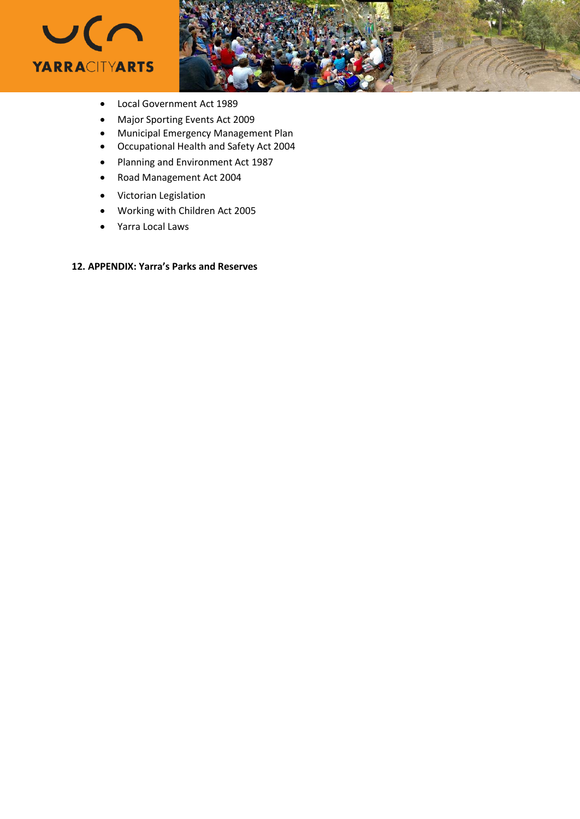



- Local Government Act 1989
- Major Sporting Events Act 2009
- Municipal Emergency Management Plan
- Occupational Health and Safety Act 2004
- Planning and Environment Act 1987
- Road Management Act 2004
- Victorian Legislation
- Working with Children Act 2005
- Yarra Local Laws

# **12. APPENDIX: Yarra's Parks and Reserves**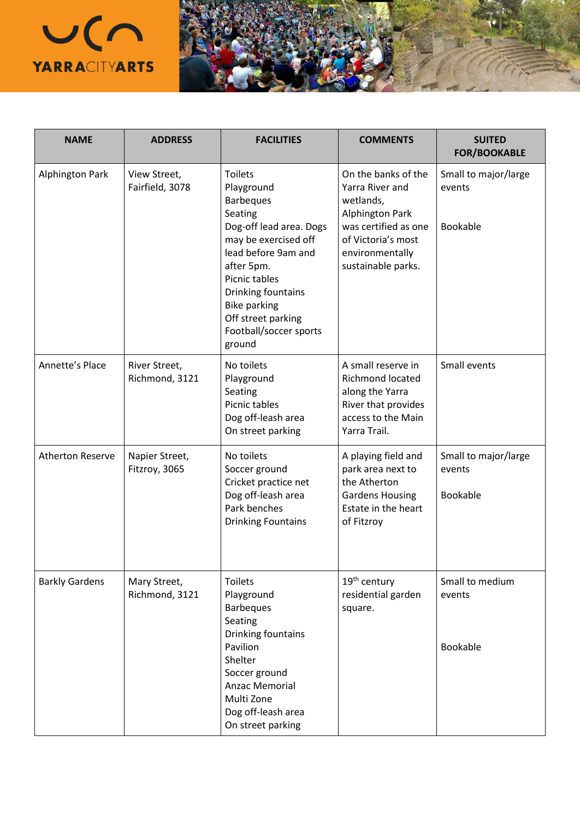

| <b>NAME</b>             | <b>ADDRESS</b>                  | <b>FACILITIES</b>                                                                                                                                                                                                                                                           | <b>COMMENTS</b>                                                                                                                                                      | <b>SUITED</b><br><b>FOR/BOOKABLE</b>              |
|-------------------------|---------------------------------|-----------------------------------------------------------------------------------------------------------------------------------------------------------------------------------------------------------------------------------------------------------------------------|----------------------------------------------------------------------------------------------------------------------------------------------------------------------|---------------------------------------------------|
| <b>Alphington Park</b>  | View Street,<br>Fairfield, 3078 | <b>Toilets</b><br>Playground<br><b>Barbeques</b><br>Seating<br>Dog-off lead area. Dogs<br>may be exercised off<br>lead before 9am and<br>after 5pm.<br>Picnic tables<br>Drinking fountains<br><b>Bike parking</b><br>Off street parking<br>Football/soccer sports<br>ground | On the banks of the<br>Yarra River and<br>wetlands,<br><b>Alphington Park</b><br>was certified as one<br>of Victoria's most<br>environmentally<br>sustainable parks. | Small to major/large<br>events<br><b>Bookable</b> |
| Annette's Place         | River Street,<br>Richmond, 3121 | No toilets<br>Playground<br>Seating<br>Picnic tables<br>Dog off-leash area<br>On street parking                                                                                                                                                                             | A small reserve in<br><b>Richmond located</b><br>along the Yarra<br>River that provides<br>access to the Main<br>Yarra Trail.                                        | Small events                                      |
| <b>Atherton Reserve</b> | Napier Street,<br>Fitzroy, 3065 | No toilets<br>Soccer ground<br>Cricket practice net<br>Dog off-leash area<br>Park benches<br><b>Drinking Fountains</b>                                                                                                                                                      | A playing field and<br>park area next to<br>the Atherton<br><b>Gardens Housing</b><br>Estate in the heart<br>of Fitzroy                                              | Small to major/large<br>events<br><b>Bookable</b> |
| <b>Barkly Gardens</b>   | Mary Street,<br>Richmond, 3121  | <b>Toilets</b><br>Playground<br><b>Barbeques</b><br>Seating<br>Drinking fountains<br>Pavilion<br>Shelter<br>Soccer ground<br><b>Anzac Memorial</b><br>Multi Zone<br>Dog off-leash area<br>On street parking                                                                 | 19 <sup>th</sup> century<br>residential garden<br>square.                                                                                                            | Small to medium<br>events<br>Bookable             |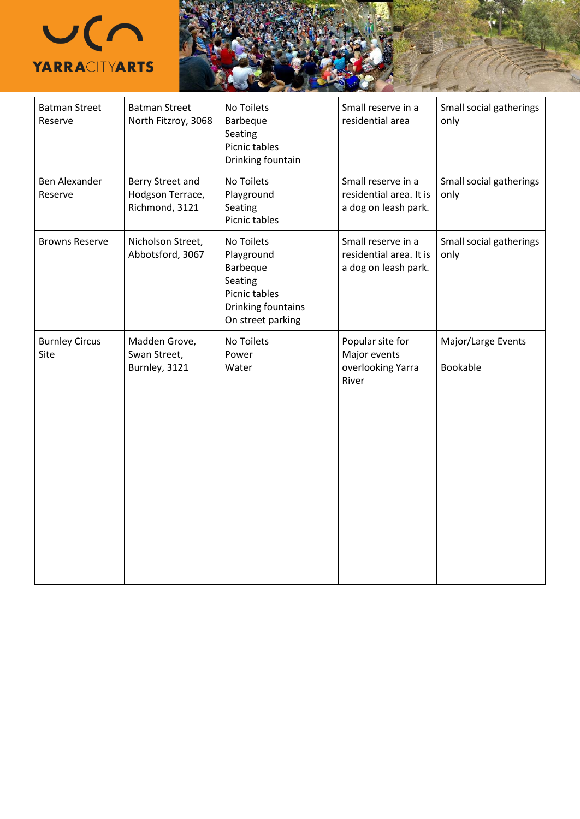

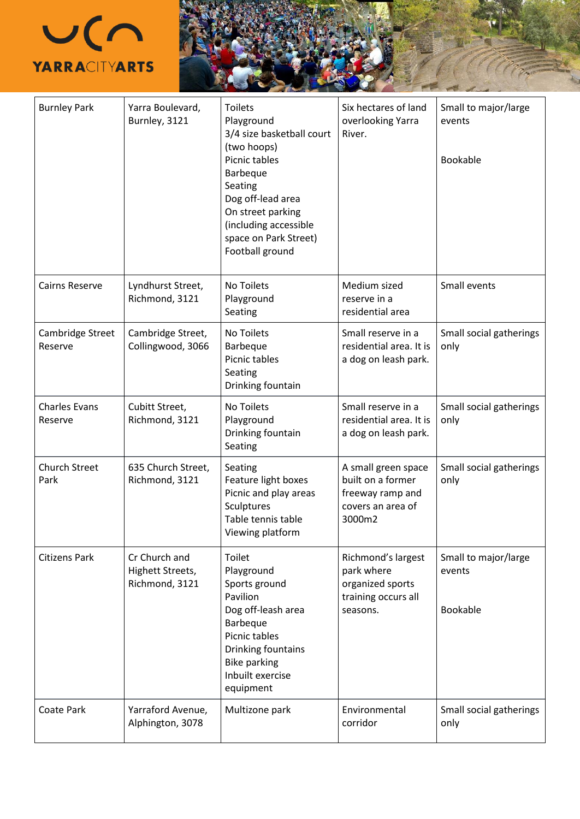

| <b>Burnley Park</b>             | Yarra Boulevard,<br>Burnley, 3121                   | <b>Toilets</b><br>Playground<br>3/4 size basketball court<br>(two hoops)<br>Picnic tables<br><b>Barbeque</b><br>Seating<br>Dog off-lead area<br>On street parking<br>(including accessible<br>space on Park Street)<br>Football ground | Six hectares of land<br>overlooking Yarra<br>River.                                         | Small to major/large<br>events<br>Bookable |
|---------------------------------|-----------------------------------------------------|----------------------------------------------------------------------------------------------------------------------------------------------------------------------------------------------------------------------------------------|---------------------------------------------------------------------------------------------|--------------------------------------------|
| <b>Cairns Reserve</b>           | Lyndhurst Street,<br>Richmond, 3121                 | No Toilets<br>Playground<br>Seating                                                                                                                                                                                                    | Medium sized<br>reserve in a<br>residential area                                            | Small events                               |
| Cambridge Street<br>Reserve     | Cambridge Street,<br>Collingwood, 3066              | No Toilets<br>Barbeque<br>Picnic tables<br>Seating<br>Drinking fountain                                                                                                                                                                | Small reserve in a<br>residential area. It is<br>a dog on leash park.                       | Small social gatherings<br>only            |
| <b>Charles Evans</b><br>Reserve | Cubitt Street,<br>Richmond, 3121                    | No Toilets<br>Playground<br>Drinking fountain<br>Seating                                                                                                                                                                               | Small reserve in a<br>residential area. It is<br>a dog on leash park.                       | Small social gatherings<br>only            |
| <b>Church Street</b><br>Park    | 635 Church Street,<br>Richmond, 3121                | Seating<br>Feature light boxes<br>Picnic and play areas<br>Sculptures<br>Table tennis table<br>Viewing platform                                                                                                                        | A small green space<br>built on a former<br>freeway ramp and<br>covers an area of<br>3000m2 | Small social gatherings<br>only            |
| <b>Citizens Park</b>            | Cr Church and<br>Highett Streets,<br>Richmond, 3121 | Toilet<br>Playground<br>Sports ground<br>Pavilion<br>Dog off-leash area<br>Barbeque<br>Picnic tables<br>Drinking fountains<br><b>Bike parking</b><br>Inbuilt exercise<br>equipment                                                     | Richmond's largest<br>park where<br>organized sports<br>training occurs all<br>seasons.     | Small to major/large<br>events<br>Bookable |
| Coate Park                      | Yarraford Avenue,<br>Alphington, 3078               | Multizone park                                                                                                                                                                                                                         | Environmental<br>corridor                                                                   | Small social gatherings<br>only            |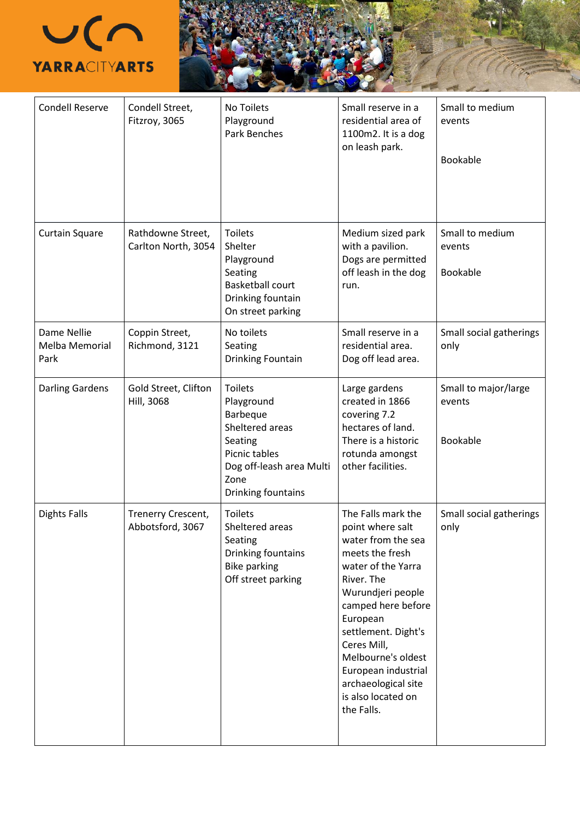

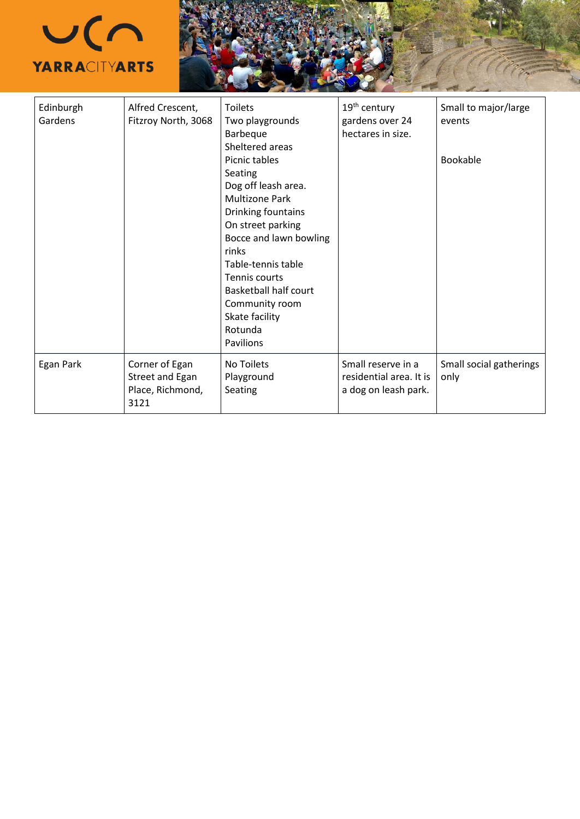

| Edinburgh<br>Gardens | Alfred Crescent,<br>Fitzroy North, 3068                       | <b>Toilets</b><br>Two playgrounds<br>Barbeque<br>Sheltered areas                                                                                                                                                                                                                                 | 19 <sup>th</sup> century<br>gardens over 24<br>hectares in size.      | Small to major/large<br>events  |
|----------------------|---------------------------------------------------------------|--------------------------------------------------------------------------------------------------------------------------------------------------------------------------------------------------------------------------------------------------------------------------------------------------|-----------------------------------------------------------------------|---------------------------------|
|                      |                                                               | Picnic tables<br>Seating<br>Dog off leash area.<br><b>Multizone Park</b><br>Drinking fountains<br>On street parking<br>Bocce and lawn bowling<br>rinks<br>Table-tennis table<br>Tennis courts<br><b>Basketball half court</b><br>Community room<br>Skate facility<br>Rotunda<br><b>Pavilions</b> |                                                                       | Bookable                        |
| Egan Park            | Corner of Egan<br>Street and Egan<br>Place, Richmond,<br>3121 | No Toilets<br>Playground<br><b>Seating</b>                                                                                                                                                                                                                                                       | Small reserve in a<br>residential area. It is<br>a dog on leash park. | Small social gatherings<br>only |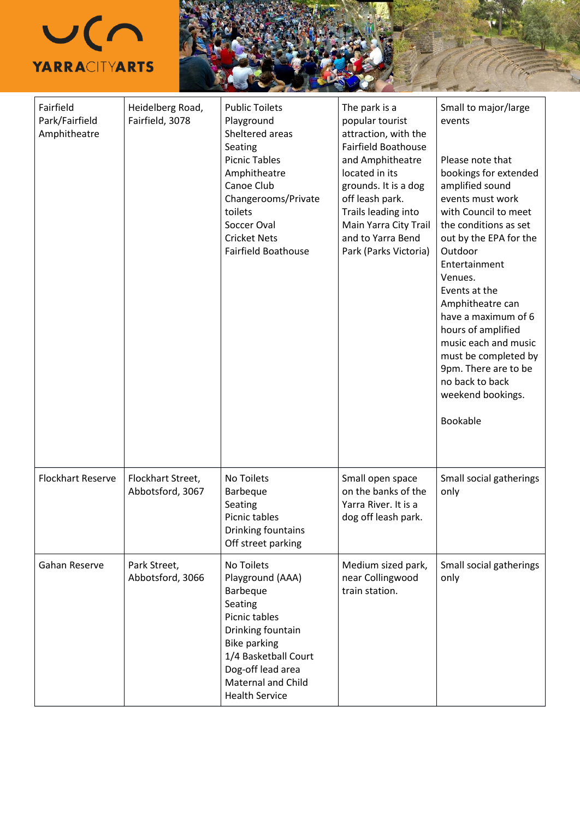



| Fairfield<br>Park/Fairfield<br>Amphitheatre | Heidelberg Road,<br>Fairfield, 3078   | <b>Public Toilets</b><br>Playground<br>Sheltered areas<br>Seating<br><b>Picnic Tables</b><br>Amphitheatre<br>Canoe Club<br>Changerooms/Private<br>toilets<br>Soccer Oval<br><b>Cricket Nets</b><br><b>Fairfield Boathouse</b> | The park is a<br>popular tourist<br>attraction, with the<br><b>Fairfield Boathouse</b><br>and Amphitheatre<br>located in its<br>grounds. It is a dog<br>off leash park.<br>Trails leading into<br>Main Yarra City Trail<br>and to Yarra Bend<br>Park (Parks Victoria) | Small to major/large<br>events<br>Please note that<br>bookings for extended<br>amplified sound<br>events must work<br>with Council to meet<br>the conditions as set<br>out by the EPA for the<br>Outdoor<br>Entertainment<br>Venues.<br>Events at the<br>Amphitheatre can<br>have a maximum of 6<br>hours of amplified<br>music each and music<br>must be completed by<br>9pm. There are to be<br>no back to back<br>weekend bookings.<br>Bookable |
|---------------------------------------------|---------------------------------------|-------------------------------------------------------------------------------------------------------------------------------------------------------------------------------------------------------------------------------|-----------------------------------------------------------------------------------------------------------------------------------------------------------------------------------------------------------------------------------------------------------------------|----------------------------------------------------------------------------------------------------------------------------------------------------------------------------------------------------------------------------------------------------------------------------------------------------------------------------------------------------------------------------------------------------------------------------------------------------|
| <b>Flockhart Reserve</b>                    | Flockhart Street,<br>Abbotsford, 3067 | No Toilets<br>Barbeque<br>Seating<br>Picnic tables<br>Drinking fountains<br>Off street parking                                                                                                                                | Small open space<br>on the banks of the<br>Yarra River. It is a<br>dog off leash park.                                                                                                                                                                                | Small social gatherings<br>only                                                                                                                                                                                                                                                                                                                                                                                                                    |
| Gahan Reserve                               | Park Street,<br>Abbotsford, 3066      | No Toilets<br>Playground (AAA)<br>Barbeque<br>Seating<br>Picnic tables<br>Drinking fountain<br><b>Bike parking</b><br>1/4 Basketball Court<br>Dog-off lead area<br><b>Maternal and Child</b><br><b>Health Service</b>         | Medium sized park,<br>near Collingwood<br>train station.                                                                                                                                                                                                              | Small social gatherings<br>only                                                                                                                                                                                                                                                                                                                                                                                                                    |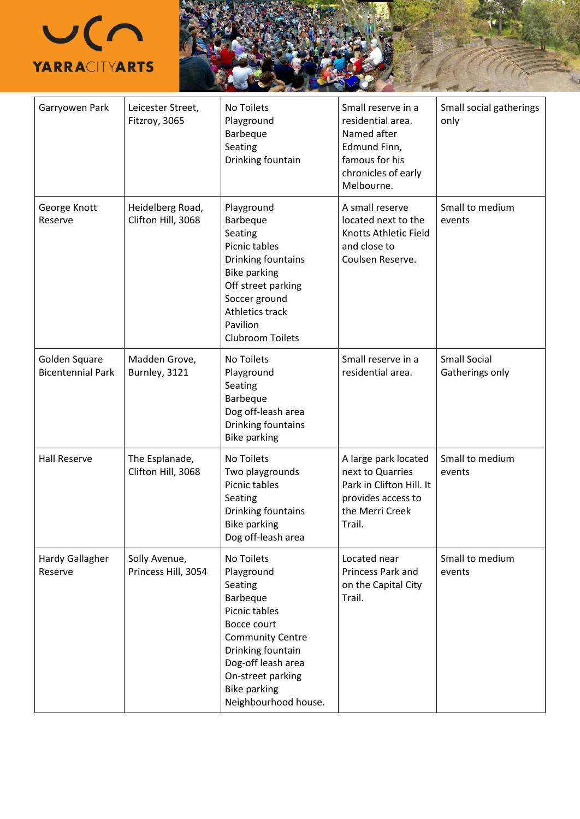

| Garryowen Park                            | Leicester Street,<br>Fitzroy, 3065     | No Toilets<br>Playground<br>Barbeque<br>Seating<br>Drinking fountain                                                                                                                                                      | Small reserve in a<br>residential area.<br>Named after<br>Edmund Finn,<br>famous for his<br>chronicles of early<br>Melbourne. | Small social gatherings<br>only        |
|-------------------------------------------|----------------------------------------|---------------------------------------------------------------------------------------------------------------------------------------------------------------------------------------------------------------------------|-------------------------------------------------------------------------------------------------------------------------------|----------------------------------------|
| George Knott<br>Reserve                   | Heidelberg Road,<br>Clifton Hill, 3068 | Playground<br>Barbeque<br>Seating<br>Picnic tables<br>Drinking fountains<br><b>Bike parking</b><br>Off street parking<br>Soccer ground<br>Athletics track<br>Pavilion<br><b>Clubroom Toilets</b>                          | A small reserve<br>located next to the<br>Knotts Athletic Field<br>and close to<br>Coulsen Reserve.                           | Small to medium<br>events              |
| Golden Square<br><b>Bicentennial Park</b> | Madden Grove,<br>Burnley, 3121         | No Toilets<br>Playground<br>Seating<br>Barbeque<br>Dog off-leash area<br>Drinking fountains<br><b>Bike parking</b>                                                                                                        | Small reserve in a<br>residential area.                                                                                       | <b>Small Social</b><br>Gatherings only |
| <b>Hall Reserve</b>                       | The Esplanade,<br>Clifton Hill, 3068   | No Toilets<br>Two playgrounds<br>Picnic tables<br>Seating<br>Drinking fountains<br><b>Bike parking</b><br>Dog off-leash area                                                                                              | A large park located<br>next to Quarries<br>Park in Clifton Hill. It<br>provides access to<br>the Merri Creek<br>Trail.       | Small to medium<br>events              |
| Hardy Gallagher<br>Reserve                | Solly Avenue,<br>Princess Hill, 3054   | No Toilets<br>Playground<br>Seating<br>Barbeque<br>Picnic tables<br>Bocce court<br><b>Community Centre</b><br>Drinking fountain<br>Dog-off leash area<br>On-street parking<br><b>Bike parking</b><br>Neighbourhood house. | Located near<br>Princess Park and<br>on the Capital City<br>Trail.                                                            | Small to medium<br>events              |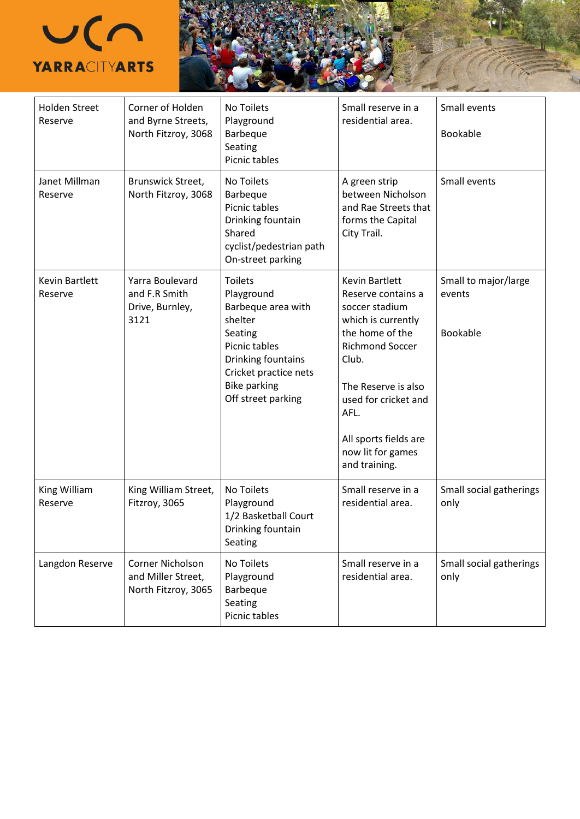

 $\mathbf l$ 

| <b>Holden Street</b><br>Reserve | Corner of Holden<br>and Byrne Streets,<br>North Fitzroy, 3068 | No Toilets<br>Playground<br>Barbeque<br>Seating<br>Picnic tables                                                                                                                      | Small reserve in a<br>residential area.                                                                                                                                                                                                                         | Small events<br><b>Bookable</b>                   |
|---------------------------------|---------------------------------------------------------------|---------------------------------------------------------------------------------------------------------------------------------------------------------------------------------------|-----------------------------------------------------------------------------------------------------------------------------------------------------------------------------------------------------------------------------------------------------------------|---------------------------------------------------|
| Janet Millman<br>Reserve        | Brunswick Street,<br>North Fitzroy, 3068                      | No Toilets<br>Barbeque<br>Picnic tables<br>Drinking fountain<br>Shared<br>cyclist/pedestrian path<br>On-street parking                                                                | A green strip<br>between Nicholson<br>and Rae Streets that<br>forms the Capital<br>City Trail.                                                                                                                                                                  | Small events                                      |
| Kevin Bartlett<br>Reserve       | Yarra Boulevard<br>and F.R Smith<br>Drive, Burnley,<br>3121   | <b>Toilets</b><br>Playground<br>Barbeque area with<br>shelter<br>Seating<br>Picnic tables<br>Drinking fountains<br>Cricket practice nets<br><b>Bike parking</b><br>Off street parking | <b>Kevin Bartlett</b><br>Reserve contains a<br>soccer stadium<br>which is currently<br>the home of the<br><b>Richmond Soccer</b><br>Club.<br>The Reserve is also<br>used for cricket and<br>AFL.<br>All sports fields are<br>now lit for games<br>and training. | Small to major/large<br>events<br><b>Bookable</b> |
| King William<br>Reserve         | King William Street,<br>Fitzroy, 3065                         | No Toilets<br>Playground<br>1/2 Basketball Court<br>Drinking fountain<br>Seating                                                                                                      | Small reserve in a<br>residential area.                                                                                                                                                                                                                         | Small social gatherings<br>only                   |
| Langdon Reserve                 | Corner Nicholson<br>and Miller Street,<br>North Fitzroy, 3065 | No Toilets<br>Playground<br>Barbeque<br>Seating<br>Picnic tables                                                                                                                      | Small reserve in a<br>residential area.                                                                                                                                                                                                                         | Small social gatherings<br>only                   |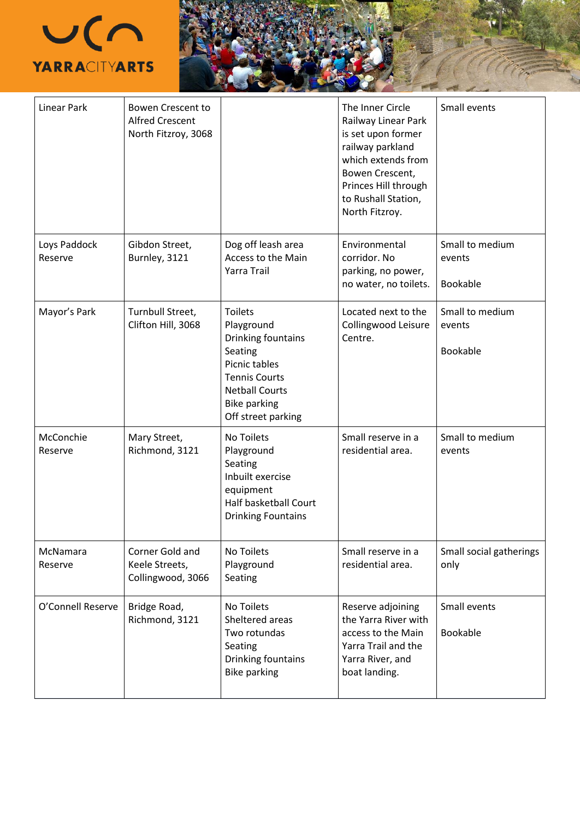

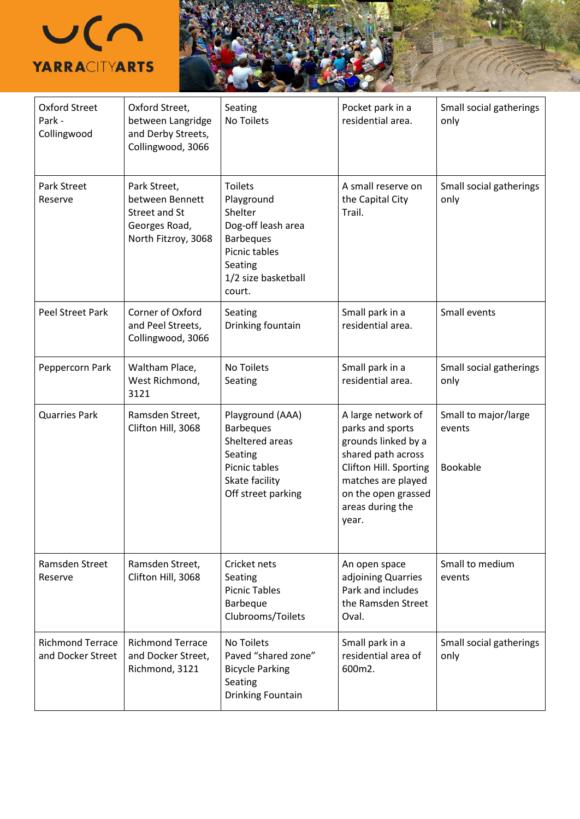